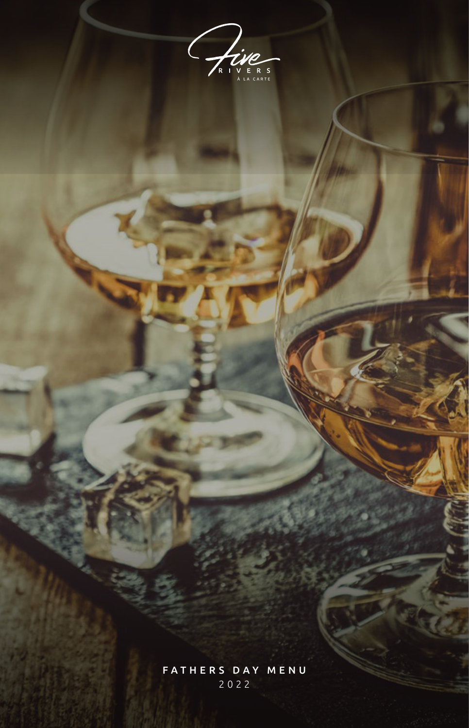